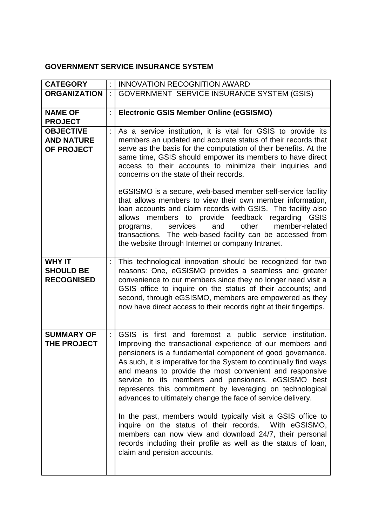## **GOVERNMENT SERVICE INSURANCE SYSTEM**

| <b>CATEGORY</b>                                        |                             | <b>INNOVATION RECOGNITION AWARD</b>                                                                                                                                                                                                                                                                                                                                                                                                                                                                                                                                                                                                                                                                                                                                                                 |
|--------------------------------------------------------|-----------------------------|-----------------------------------------------------------------------------------------------------------------------------------------------------------------------------------------------------------------------------------------------------------------------------------------------------------------------------------------------------------------------------------------------------------------------------------------------------------------------------------------------------------------------------------------------------------------------------------------------------------------------------------------------------------------------------------------------------------------------------------------------------------------------------------------------------|
| <b>ORGANIZATION</b>                                    | $\mathcal{L}^{\mathcal{A}}$ | GOVERNMENT SERVICE INSURANCE SYSTEM (GSIS)                                                                                                                                                                                                                                                                                                                                                                                                                                                                                                                                                                                                                                                                                                                                                          |
| <b>NAME OF</b><br><b>PROJECT</b>                       | ł.                          | <b>Electronic GSIS Member Online (eGSISMO)</b>                                                                                                                                                                                                                                                                                                                                                                                                                                                                                                                                                                                                                                                                                                                                                      |
| <b>OBJECTIVE</b><br><b>AND NATURE</b><br>OF PROJECT    | ÷                           | As a service institution, it is vital for GSIS to provide its<br>members an updated and accurate status of their records that<br>serve as the basis for the computation of their benefits. At the<br>same time, GSIS should empower its members to have direct<br>access to their accounts to minimize their inquiries and<br>concerns on the state of their records.<br>eGSISMO is a secure, web-based member self-service facility<br>that allows members to view their own member information,<br>loan accounts and claim records with GSIS. The facility also<br>allows members to provide feedback regarding GSIS<br>other<br>member-related<br>services<br>and<br>programs,<br>transactions. The web-based facility can be accessed from<br>the website through Internet or company Intranet. |
| <b>WHY IT</b><br><b>SHOULD BE</b><br><b>RECOGNISED</b> |                             | This technological innovation should be recognized for two<br>reasons: One, eGSISMO provides a seamless and greater<br>convenience to our members since they no longer need visit a<br>GSIS office to inquire on the status of their accounts; and<br>second, through eGSISMO, members are empowered as they<br>now have direct access to their records right at their fingertips.                                                                                                                                                                                                                                                                                                                                                                                                                  |
| <b>SUMMARY OF</b><br>THE PROJECT                       |                             | GSIS is first and foremost a public service institution.<br>Improving the transactional experience of our members and<br>pensioners is a fundamental component of good governance.<br>As such, it is imperative for the System to continually find ways<br>and means to provide the most convenient and responsive<br>service to its members and pensioners. eGSISMO best<br>represents this commitment by leveraging on technological<br>advances to ultimately change the face of service delivery.<br>In the past, members would typically visit a GSIS office to<br>inquire on the status of their records. With eGSISMO,<br>members can now view and download 24/7, their personal<br>records including their profile as well as the status of loan,<br>claim and pension accounts.            |